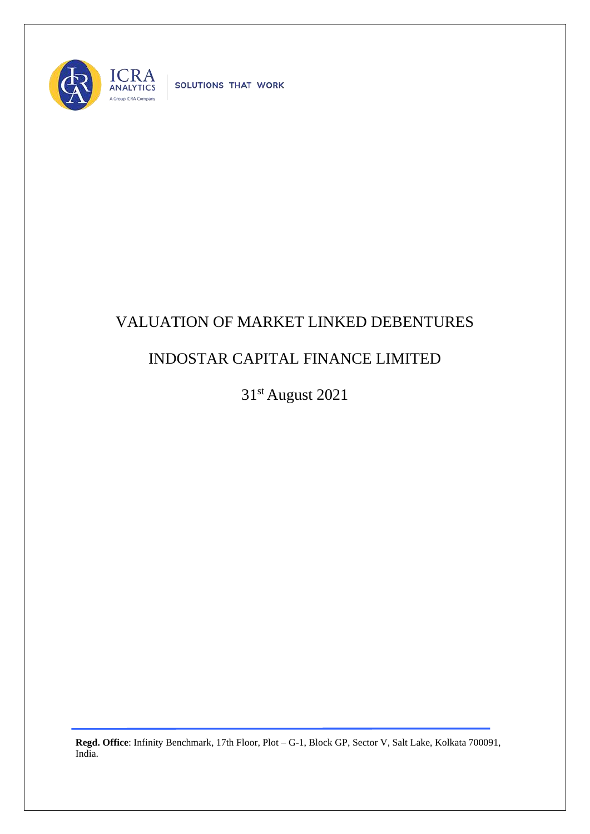

SOLUTIONS THAT WORK

## VALUATION OF MARKET LINKED DEBENTURES

## INDOSTAR CAPITAL FINANCE LIMITED

31st August 2021

**Regd. Office**: Infinity Benchmark, 17th Floor, Plot – G-1, Block GP, Sector V, Salt Lake, Kolkata 700091, India.